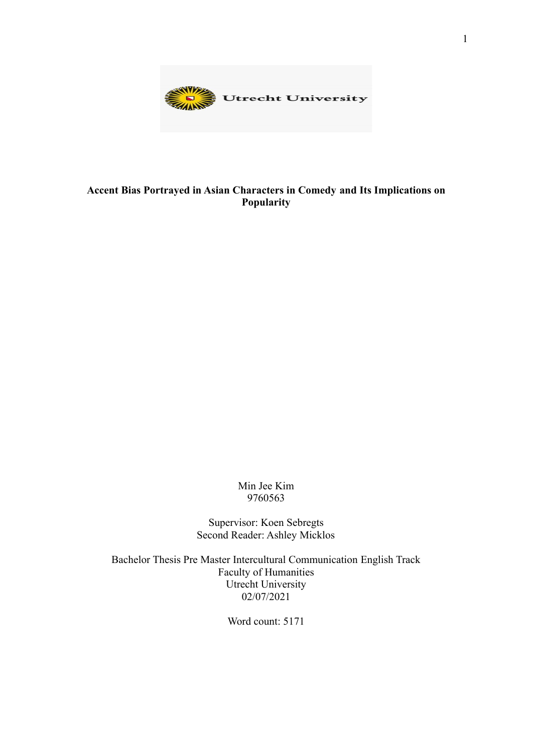

## **Accent Bias Portrayed in Asian Characters in Comedy and Its Implications on Popularity**

Min Jee Kim 9760563

Supervisor: Koen Sebregts Second Reader: Ashley Micklos

Bachelor Thesis Pre Master Intercultural Communication English Track Faculty of Humanities Utrecht University 02/07/2021

Word count: 5171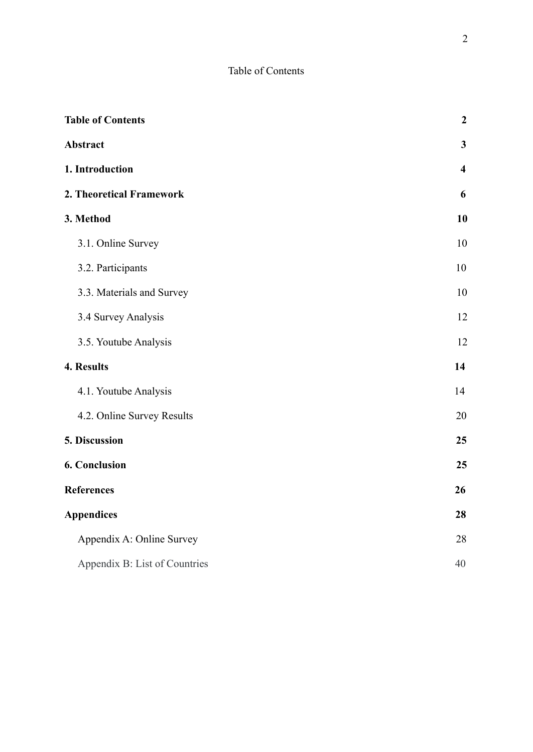## Table of Contents

| <b>Table of Contents</b>      | $\boldsymbol{2}$        |
|-------------------------------|-------------------------|
| Abstract                      | $\mathbf{3}$            |
| 1. Introduction               | $\overline{\mathbf{4}}$ |
| 2. Theoretical Framework      | 6                       |
| 3. Method                     | 10                      |
| 3.1. Online Survey            | 10                      |
| 3.2. Participants             | 10                      |
| 3.3. Materials and Survey     | 10                      |
| 3.4 Survey Analysis           | 12                      |
| 3.5. Youtube Analysis         | 12                      |
| 4. Results                    | 14                      |
| 4.1. Youtube Analysis         | 14                      |
| 4.2. Online Survey Results    | 20                      |
| 5. Discussion                 | 25                      |
| <b>6. Conclusion</b>          | 25                      |
| <b>References</b>             | 26                      |
| <b>Appendices</b>             | 28                      |
| Appendix A: Online Survey     | 28                      |
| Appendix B: List of Countries | 40                      |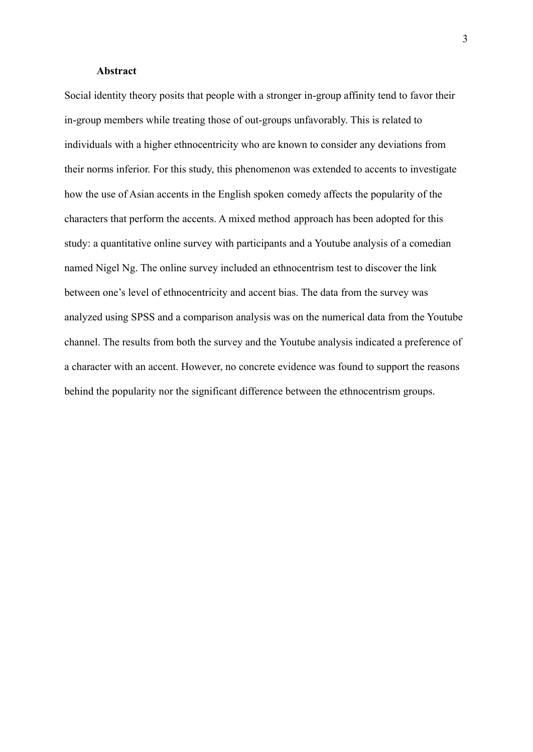#### **Abstract**

Social identity theory posits that people with a stronger in-group affinity tend to favor their in-group members while treating those of out-groups unfavorably. This is related to individuals with a higher ethnocentricity who are known to consider any deviations from their norms inferior. For this study, this phenomenon was extended to accents to investigate how the use of Asian accents in the English spoken comedy affects the popularity of the characters that perform the accents. A mixed method approach has been adopted for this study: a quantitative online survey with participants and a Youtube analysis of a comedian named Nigel Ng. The online survey included an ethnocentrism test to discover the link between one's level of ethnocentricity and accent bias. The data from the survey was analyzed using SPSS and a comparison analysis was on the numerical data from the Youtube channel. The results from both the survey and the Youtube analysis indicated a preference of a character with an accent. However, no concrete evidence was found to support the reasons behind the popularity nor the significant difference between the ethnocentrism groups.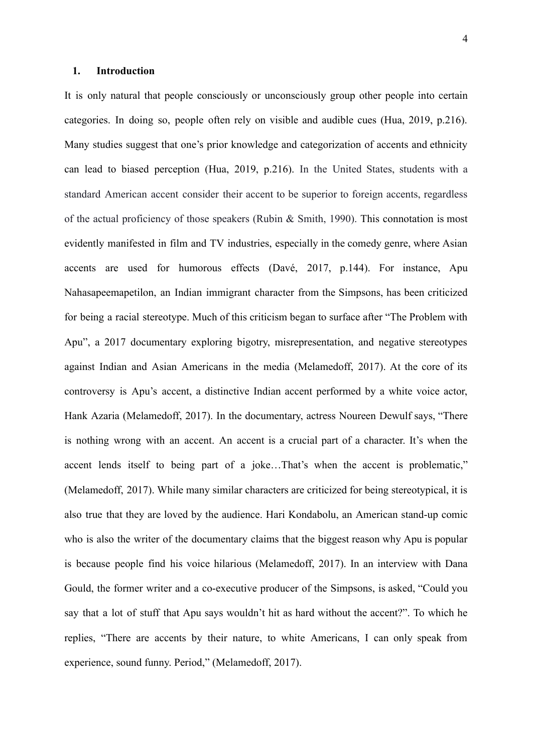#### **1. Introduction**

It is only natural that people consciously or unconsciously group other people into certain categories. In doing so, people often rely on visible and audible cues (Hua, 2019, p.216). Many studies suggest that one's prior knowledge and categorization of accents and ethnicity can lead to biased perception (Hua, 2019, p.216). In the United States, students with a standard American accent consider their accent to be superior to foreign accents, regardless of the actual proficiency of those speakers (Rubin & Smith, 1990). This connotation is most evidently manifested in film and TV industries, especially in the comedy genre, where Asian accents are used for humorous effects (Davé, 2017, p.144). For instance, Apu Nahasapeemapetilon, an Indian immigrant character from the Simpsons, has been criticized for being a racial stereotype. Much of this criticism began to surface after "The Problem with Apu", a 2017 documentary exploring bigotry, misrepresentation, and negative stereotypes against Indian and Asian Americans in the media (Melamedoff, 2017). At the core of its controversy is Apu's accent, a distinctive Indian accent performed by a white voice actor, Hank Azaria (Melamedoff, 2017). In the documentary, actress Noureen Dewulf says, "There is nothing wrong with an accent. An accent is a crucial part of a character. It's when the accent lends itself to being part of a joke…That's when the accent is problematic," (Melamedoff, 2017). While many similar characters are criticized for being stereotypical, it is also true that they are loved by the audience. Hari Kondabolu, an American stand-up comic who is also the writer of the documentary claims that the biggest reason why Apu is popular is because people find his voice hilarious (Melamedoff, 2017). In an interview with Dana Gould, the former writer and a co-executive producer of the Simpsons, is asked, "Could you say that a lot of stuff that Apu says wouldn't hit as hard without the accent?". To which he replies, "There are accents by their nature, to white Americans, I can only speak from experience, sound funny. Period," (Melamedoff, 2017).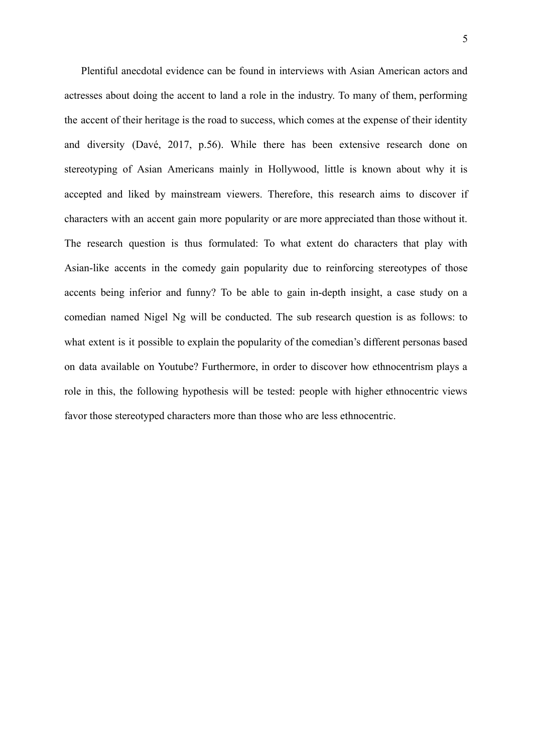Plentiful anecdotal evidence can be found in interviews with Asian American actors and actresses about doing the accent to land a role in the industry. To many of them, performing the accent of their heritage is the road to success, which comes at the expense of their identity and diversity (Davé, 2017, p.56). While there has been extensive research done on stereotyping of Asian Americans mainly in Hollywood, little is known about why it is accepted and liked by mainstream viewers. Therefore, this research aims to discover if characters with an accent gain more popularity or are more appreciated than those without it. The research question is thus formulated: To what extent do characters that play with Asian-like accents in the comedy gain popularity due to reinforcing stereotypes of those accents being inferior and funny? To be able to gain in-depth insight, a case study on a comedian named Nigel Ng will be conducted. The sub research question is as follows: to what extent is it possible to explain the popularity of the comedian's different personas based on data available on Youtube? Furthermore, in order to discover how ethnocentrism plays a role in this, the following hypothesis will be tested: people with higher ethnocentric views favor those stereotyped characters more than those who are less ethnocentric.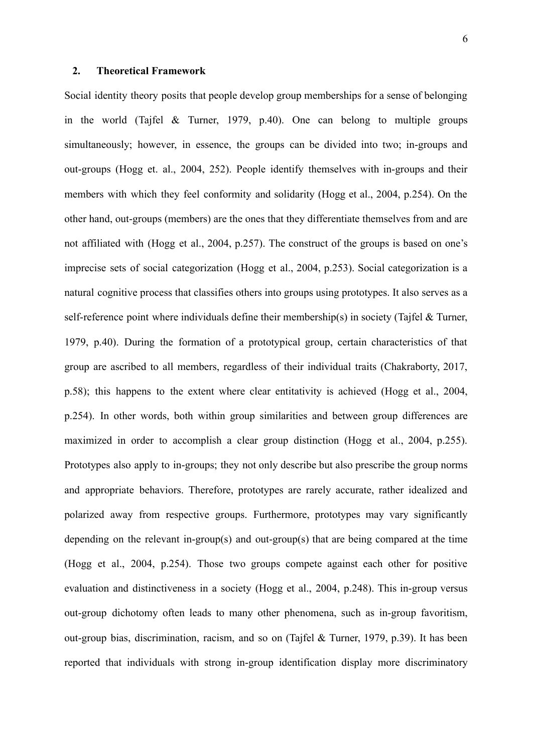#### **2. Theoretical Framework**

Social identity theory posits that people develop group memberships for a sense of belonging in the world (Tajfel & Turner, 1979, p.40). One can belong to multiple groups simultaneously; however, in essence, the groups can be divided into two; in-groups and out-groups (Hogg et. al., 2004, 252). People identify themselves with in-groups and their members with which they feel conformity and solidarity (Hogg et al., 2004, p.254). On the other hand, out-groups (members) are the ones that they differentiate themselves from and are not affiliated with (Hogg et al., 2004, p.257). The construct of the groups is based on one's imprecise sets of social categorization (Hogg et al., 2004, p.253). Social categorization is a natural cognitive process that classifies others into groups using prototypes. It also serves as a self-reference point where individuals define their membership(s) in society (Tajfel & Turner, 1979, p.40). During the formation of a prototypical group, certain characteristics of that group are ascribed to all members, regardless of their individual traits (Chakraborty, 2017, p.58); this happens to the extent where clear entitativity is achieved (Hogg et al., 2004, p.254). In other words, both within group similarities and between group differences are maximized in order to accomplish a clear group distinction (Hogg et al., 2004, p.255). Prototypes also apply to in-groups; they not only describe but also prescribe the group norms and appropriate behaviors. Therefore, prototypes are rarely accurate, rather idealized and polarized away from respective groups. Furthermore, prototypes may vary significantly depending on the relevant in-group(s) and out-group(s) that are being compared at the time (Hogg et al., 2004, p.254). Those two groups compete against each other for positive evaluation and distinctiveness in a society (Hogg et al., 2004, p.248). This in-group versus out-group dichotomy often leads to many other phenomena, such as in-group favoritism, out-group bias, discrimination, racism, and so on (Tajfel & Turner, 1979, p.39). It has been reported that individuals with strong in-group identification display more discriminatory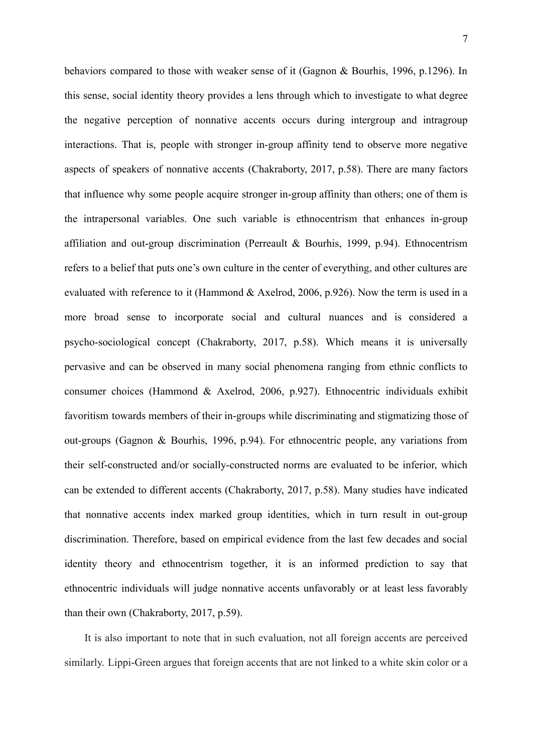behaviors compared to those with weaker sense of it (Gagnon & Bourhis, 1996, p.1296). In this sense, social identity theory provides a lens through which to investigate to what degree the negative perception of nonnative accents occurs during intergroup and intragroup interactions. That is, people with stronger in-group affinity tend to observe more negative aspects of speakers of nonnative accents (Chakraborty, 2017, p.58). There are many factors that influence why some people acquire stronger in-group affinity than others; one of them is the intrapersonal variables. One such variable is ethnocentrism that enhances in-group affiliation and out-group discrimination (Perreault & Bourhis, 1999, p.94). Ethnocentrism refers to a belief that puts one's own culture in the center of everything, and other cultures are evaluated with reference to it (Hammond & Axelrod, 2006, p.926). Now the term is used in a more broad sense to incorporate social and cultural nuances and is considered a psycho-sociological concept (Chakraborty, 2017, p.58). Which means it is universally pervasive and can be observed in many social phenomena ranging from ethnic conflicts to consumer choices (Hammond & Axelrod, 2006, p.927). Ethnocentric individuals exhibit favoritism towards members of their in-groups while discriminating and stigmatizing those of out-groups (Gagnon & Bourhis, 1996, p.94). For ethnocentric people, any variations from their self-constructed and/or socially-constructed norms are evaluated to be inferior, which can be extended to different accents (Chakraborty, 2017, p.58). Many studies have indicated that nonnative accents index marked group identities, which in turn result in out-group discrimination. Therefore, based on empirical evidence from the last few decades and social identity theory and ethnocentrism together, it is an informed prediction to say that ethnocentric individuals will judge nonnative accents unfavorably or at least less favorably than their own (Chakraborty, 2017, p.59).

It is also important to note that in such evaluation, not all foreign accents are perceived similarly. Lippi-Green argues that foreign accents that are not linked to a white skin color or a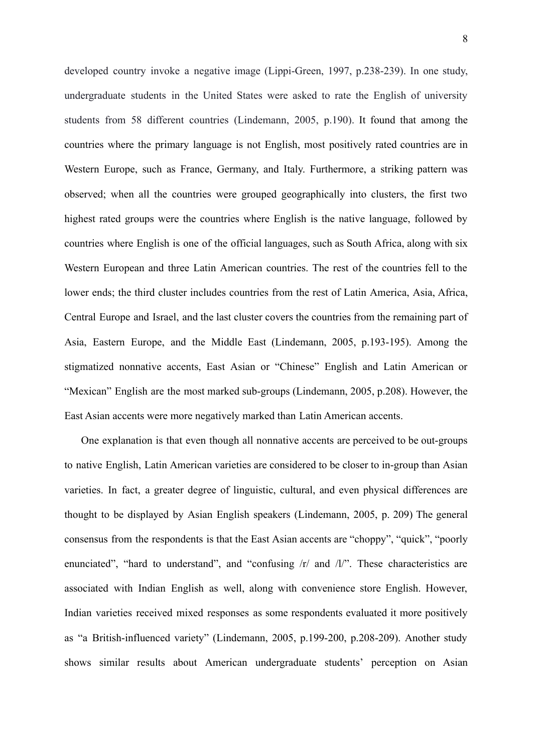developed country invoke a negative image (Lippi-Green, 1997, p.238-239). In one study, undergraduate students in the United States were asked to rate the English of university students from 58 different countries (Lindemann, 2005, p.190). It found that among the countries where the primary language is not English, most positively rated countries are in Western Europe, such as France, Germany, and Italy. Furthermore, a striking pattern was observed; when all the countries were grouped geographically into clusters, the first two highest rated groups were the countries where English is the native language, followed by countries where English is one of the official languages, such as South Africa, along with six Western European and three Latin American countries. The rest of the countries fell to the lower ends; the third cluster includes countries from the rest of Latin America, Asia, Africa, Central Europe and Israel, and the last cluster covers the countries from the remaining part of Asia, Eastern Europe, and the Middle East (Lindemann, 2005, p.193-195). Among the stigmatized nonnative accents, East Asian or "Chinese" English and Latin American or "Mexican" English are the most marked sub-groups (Lindemann, 2005, p.208). However, the East Asian accents were more negatively marked than Latin American accents.

One explanation is that even though all nonnative accents are perceived to be out-groups to native English, Latin American varieties are considered to be closer to in-group than Asian varieties. In fact, a greater degree of linguistic, cultural, and even physical differences are thought to be displayed by Asian English speakers (Lindemann, 2005, p. 209) The general consensus from the respondents is that the East Asian accents are "choppy", "quick", "poorly enunciated", "hard to understand", and "confusing  $|r|$  and  $|l|$ ". These characteristics are associated with Indian English as well, along with convenience store English. However, Indian varieties received mixed responses as some respondents evaluated it more positively as "a British-influenced variety" (Lindemann, 2005, p.199-200, p.208-209). Another study shows similar results about American undergraduate students' perception on Asian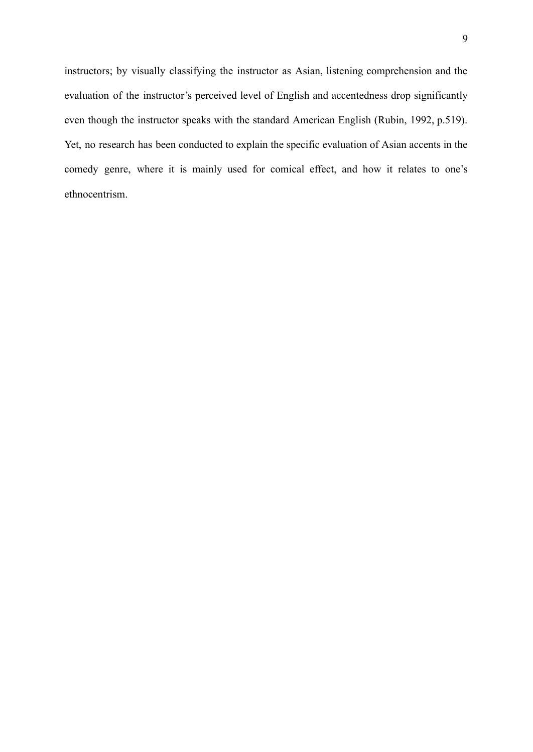instructors; by visually classifying the instructor as Asian, listening comprehension and the evaluation of the instructor's perceived level of English and accentedness drop significantly even though the instructor speaks with the standard American English (Rubin, 1992, p.519). Yet, no research has been conducted to explain the specific evaluation of Asian accents in the comedy genre, where it is mainly used for comical effect, and how it relates to one's ethnocentrism.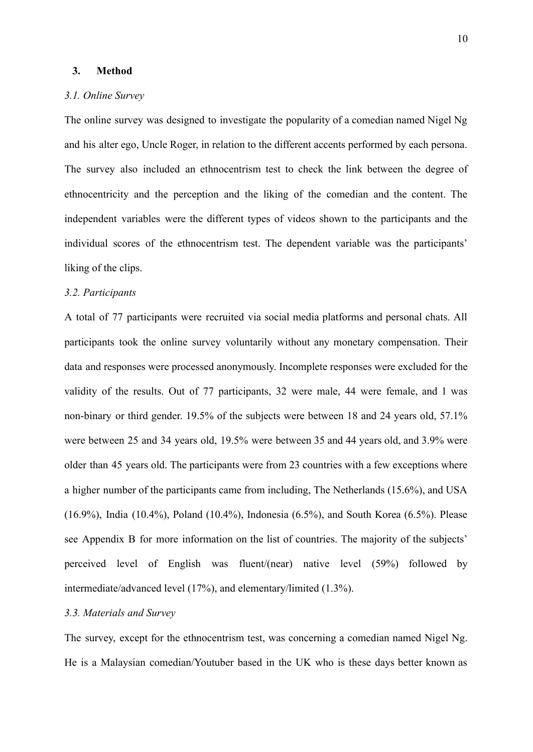#### **3. Method**

#### *3.1. Online Survey*

The online survey was designed to investigate the popularity of a comedian named Nigel Ng and his alter ego, Uncle Roger, in relation to the different accents performed by each persona. The survey also included an ethnocentrism test to check the link between the degree of ethnocentricity and the perception and the liking of the comedian and the content. The independent variables were the different types of videos shown to the participants and the individual scores of the ethnocentrism test. The dependent variable was the participants' liking of the clips.

#### *3.2. Participants*

A total of 77 participants were recruited via social media platforms and personal chats. All participants took the online survey voluntarily without any monetary compensation. Their data and responses were processed anonymously. Incomplete responses were excluded for the validity of the results. Out of 77 participants, 32 were male, 44 were female, and 1 was non-binary or third gender. 19.5% of the subjects were between 18 and 24 years old, 57.1% were between 25 and 34 years old, 19.5% were between 35 and 44 years old, and 3.9% were older than 45 years old. The participants were from 23 countries with a few exceptions where a higher number of the participants came from including, The Netherlands (15.6%), and USA (16.9%), India (10.4%), Poland (10.4%), Indonesia (6.5%), and South Korea (6.5%). Please see Appendix B for more information on the list of countries. The majority of the subjects' perceived level of English was fluent/(near) native level (59%) followed by intermediate/advanced level (17%), and elementary/limited (1.3%).

## *3.3. Materials and Survey*

The survey, except for the ethnocentrism test, was concerning a comedian named Nigel Ng. He is a Malaysian comedian/Youtuber based in the UK who is these days better known as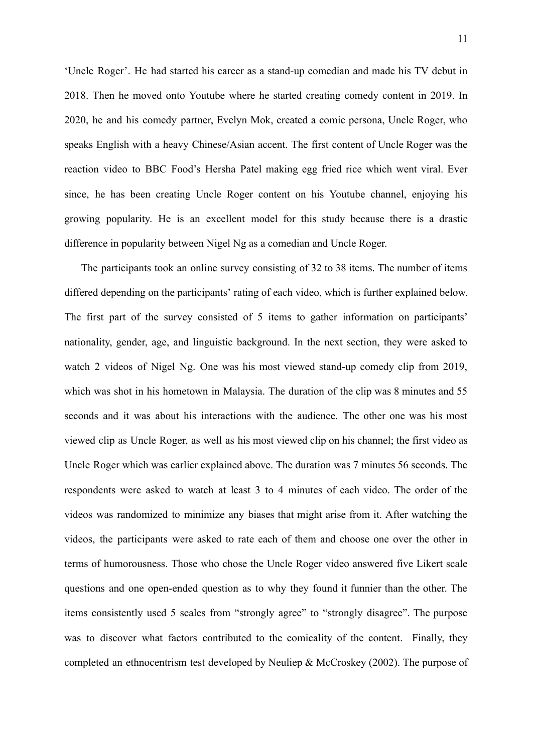'Uncle Roger'. He had started his career as a stand-up comedian and made his TV debut in 2018. Then he moved onto Youtube where he started creating comedy content in 2019. In 2020, he and his comedy partner, Evelyn Mok, created a comic persona, Uncle Roger, who speaks English with a heavy Chinese/Asian accent. The first content of Uncle Roger was the reaction video to BBC Food's Hersha Patel making egg fried rice which went viral. Ever since, he has been creating Uncle Roger content on his Youtube channel, enjoying his growing popularity. He is an excellent model for this study because there is a drastic difference in popularity between Nigel Ng as a comedian and Uncle Roger.

The participants took an online survey consisting of 32 to 38 items. The number of items differed depending on the participants' rating of each video, which is further explained below. The first part of the survey consisted of 5 items to gather information on participants' nationality, gender, age, and linguistic background. In the next section, they were asked to watch 2 videos of Nigel Ng. One was his most viewed stand-up comedy clip from 2019, which was shot in his hometown in Malaysia. The duration of the clip was 8 minutes and 55 seconds and it was about his interactions with the audience. The other one was his most viewed clip as Uncle Roger, as well as his most viewed clip on his channel; the first video as Uncle Roger which was earlier explained above. The duration was 7 minutes 56 seconds. The respondents were asked to watch at least 3 to 4 minutes of each video. The order of the videos was randomized to minimize any biases that might arise from it. After watching the videos, the participants were asked to rate each of them and choose one over the other in terms of humorousness. Those who chose the Uncle Roger video answered five Likert scale questions and one open-ended question as to why they found it funnier than the other. The items consistently used 5 scales from "strongly agree" to "strongly disagree". The purpose was to discover what factors contributed to the comicality of the content. Finally, they completed an ethnocentrism test developed by Neuliep & McCroskey (2002). The purpose of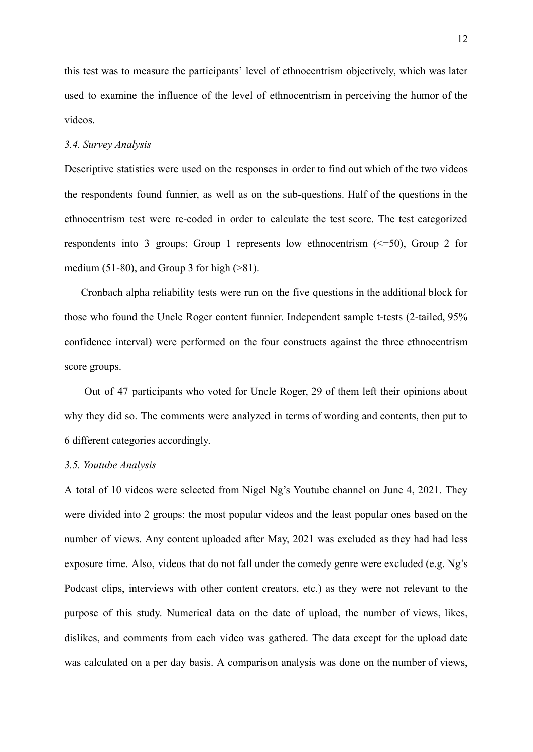this test was to measure the participants' level of ethnocentrism objectively, which was later used to examine the influence of the level of ethnocentrism in perceiving the humor of the videos.

#### *3.4. Survey Analysis*

Descriptive statistics were used on the responses in order to find out which of the two videos the respondents found funnier, as well as on the sub-questions. Half of the questions in the ethnocentrism test were re-coded in order to calculate the test score. The test categorized respondents into 3 groups; Group 1 represents low ethnocentrism (<=50), Group 2 for medium (51-80), and Group 3 for high  $(>81)$ .

Cronbach alpha reliability tests were run on the five questions in the additional block for those who found the Uncle Roger content funnier. Independent sample t-tests (2-tailed, 95% confidence interval) were performed on the four constructs against the three ethnocentrism score groups.

Out of 47 participants who voted for Uncle Roger, 29 of them left their opinions about why they did so. The comments were analyzed in terms of wording and contents, then put to 6 different categories accordingly.

#### *3.5. Youtube Analysis*

A total of 10 videos were selected from Nigel Ng's Youtube channel on June 4, 2021. They were divided into 2 groups: the most popular videos and the least popular ones based on the number of views. Any content uploaded after May, 2021 was excluded as they had had less exposure time. Also, videos that do not fall under the comedy genre were excluded (e.g. Ng's Podcast clips, interviews with other content creators, etc.) as they were not relevant to the purpose of this study. Numerical data on the date of upload, the number of views, likes, dislikes, and comments from each video was gathered. The data except for the upload date was calculated on a per day basis. A comparison analysis was done on the number of views,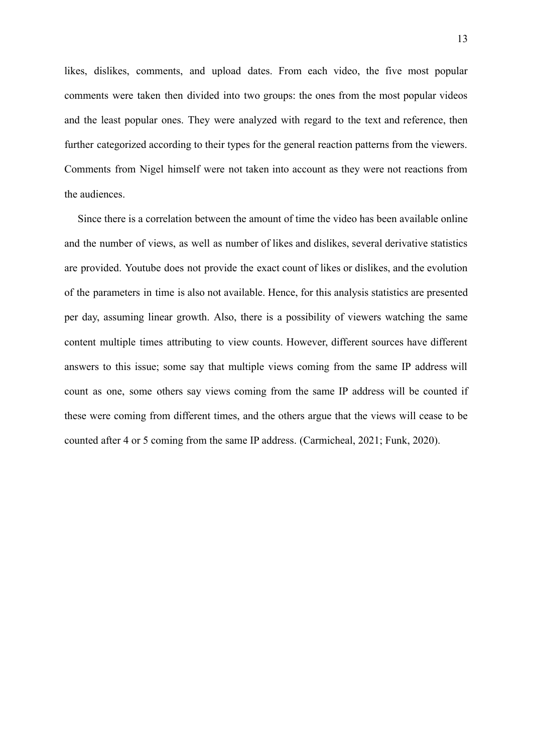likes, dislikes, comments, and upload dates. From each video, the five most popular comments were taken then divided into two groups: the ones from the most popular videos and the least popular ones. They were analyzed with regard to the text and reference, then further categorized according to their types for the general reaction patterns from the viewers. Comments from Nigel himself were not taken into account as they were not reactions from the audiences.

Since there is a correlation between the amount of time the video has been available online and the number of views, as well as number of likes and dislikes, several derivative statistics are provided. Youtube does not provide the exact count of likes or dislikes, and the evolution of the parameters in time is also not available. Hence, for this analysis statistics are presented per day, assuming linear growth. Also, there is a possibility of viewers watching the same content multiple times attributing to view counts. However, different sources have different answers to this issue; some say that multiple views coming from the same IP address will count as one, some others say views coming from the same IP address will be counted if these were coming from different times, and the others argue that the views will cease to be counted after 4 or 5 coming from the same IP address. (Carmicheal, 2021; Funk, 2020).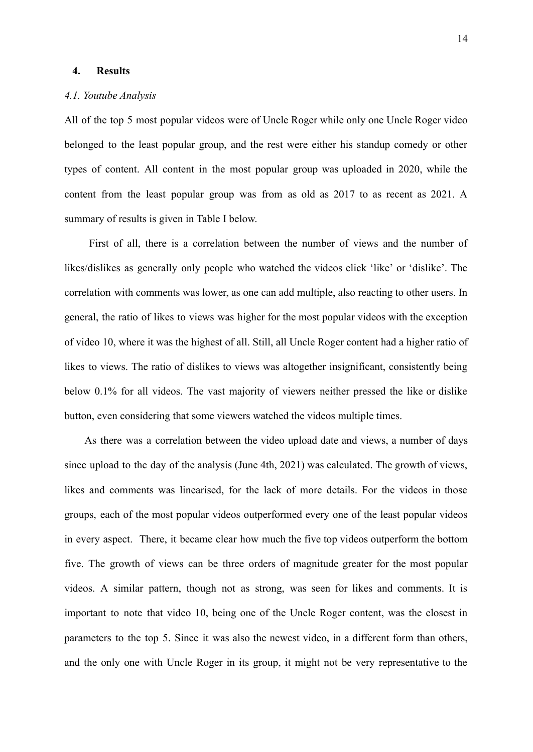#### **4. Results**

#### *4.1. Youtube Analysis*

All of the top 5 most popular videos were of Uncle Roger while only one Uncle Roger video belonged to the least popular group, and the rest were either his standup comedy or other types of content. All content in the most popular group was uploaded in 2020, while the content from the least popular group was from as old as 2017 to as recent as 2021. A summary of results is given in Table I below.

First of all, there is a correlation between the number of views and the number of likes/dislikes as generally only people who watched the videos click 'like' or 'dislike'. The correlation with comments was lower, as one can add multiple, also reacting to other users. In general, the ratio of likes to views was higher for the most popular videos with the exception of video 10, where it was the highest of all. Still, all Uncle Roger content had a higher ratio of likes to views. The ratio of dislikes to views was altogether insignificant, consistently being below 0.1% for all videos. The vast majority of viewers neither pressed the like or dislike button, even considering that some viewers watched the videos multiple times.

As there was a correlation between the video upload date and views, a number of days since upload to the day of the analysis (June 4th, 2021) was calculated. The growth of views, likes and comments was linearised, for the lack of more details. For the videos in those groups, each of the most popular videos outperformed every one of the least popular videos in every aspect. There, it became clear how much the five top videos outperform the bottom five. The growth of views can be three orders of magnitude greater for the most popular videos. A similar pattern, though not as strong, was seen for likes and comments. It is important to note that video 10, being one of the Uncle Roger content, was the closest in parameters to the top 5. Since it was also the newest video, in a different form than others, and the only one with Uncle Roger in its group, it might not be very representative to the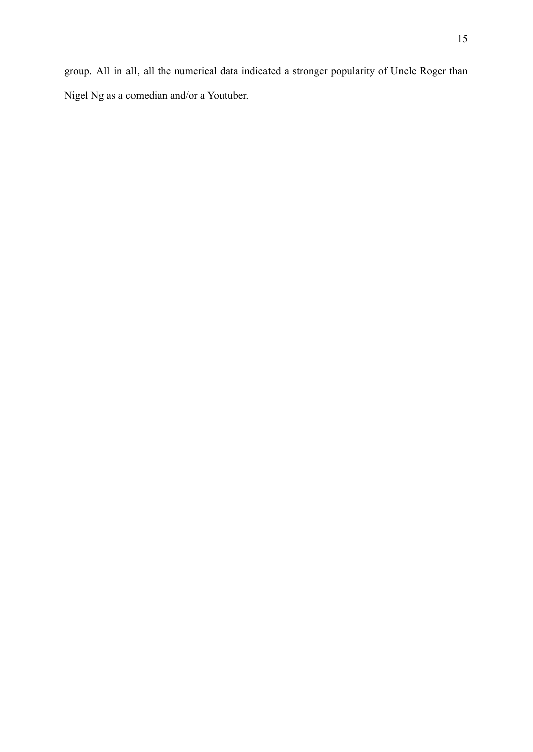Nigel Ng as a comedian and/or a Youtuber.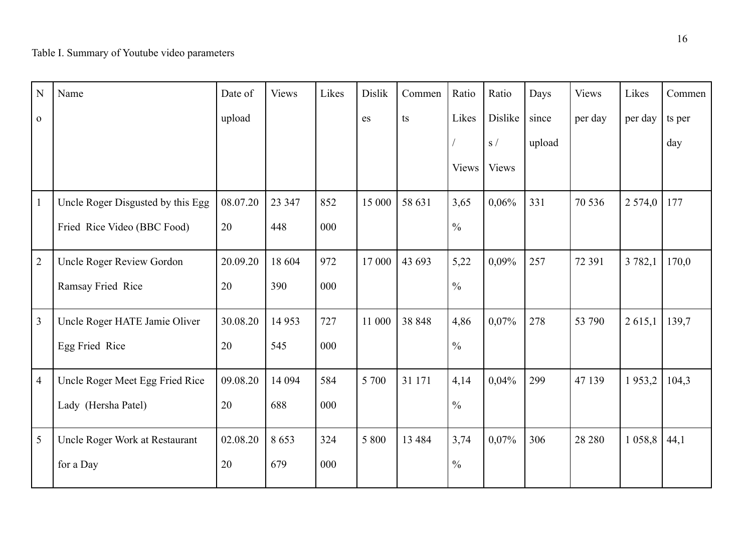| N              | Name                              | Date of  | <b>Views</b> | Likes | <b>Dislik</b> | Commen   | Ratio         | Ratio        | Days   | <b>Views</b> | Likes      | Commen |
|----------------|-----------------------------------|----------|--------------|-------|---------------|----------|---------------|--------------|--------|--------------|------------|--------|
| $\mathbf{O}$   |                                   | upload   |              |       | es            | ts       | Likes         | Dislike      | since  | per day      | per day    | ts per |
|                |                                   |          |              |       |               |          |               | S/           | upload |              |            | day    |
|                |                                   |          |              |       |               |          | <b>Views</b>  | <b>Views</b> |        |              |            |        |
| $\mathbf{1}$   | Uncle Roger Disgusted by this Egg | 08.07.20 | 23 347       | 852   | 15 000        | 58 631   | 3,65          | $0,06\%$     | 331    | 70 536       | 2574,0     | 177    |
|                | Fried Rice Video (BBC Food)       | 20       | 448          | 000   |               |          | $\frac{0}{0}$ |              |        |              |            |        |
| $\overline{2}$ | Uncle Roger Review Gordon         | 20.09.20 | 18 604       | 972   | 17 000        | 43 693   | 5,22          | $0,09\%$     | 257    | 72 391       | 3 7 8 2, 1 | 170,0  |
|                | Ramsay Fried Rice                 | 20       | 390          | 000   |               |          | $\frac{0}{0}$ |              |        |              |            |        |
| $\overline{3}$ | Uncle Roger HATE Jamie Oliver     | 30.08.20 | 14 9 53      | 727   | 11 000        | 38 848   | 4,86          | 0,07%        | 278    | 53 790       | 2615,1     | 139,7  |
|                | Egg Fried Rice                    | 20       | 545          | 000   |               |          | $\frac{0}{0}$ |              |        |              |            |        |
| $\overline{4}$ | Uncle Roger Meet Egg Fried Rice   | 09.08.20 | 14 094       | 584   | 5 700         | 31 171   | 4,14          | 0,04%        | 299    | 47 139       | 1953,2     | 104,3  |
|                | Lady (Hersha Patel)               | 20       | 688          | 000   |               |          | $\frac{0}{0}$ |              |        |              |            |        |
| 5              | Uncle Roger Work at Restaurant    | 02.08.20 | 8653         | 324   | 5 800         | 13 4 8 4 | 3,74          | 0,07%        | 306    | 28 280       | 1058,8     | 44,1   |
|                | for a Day                         | 20       | 679          | 000   |               |          | $\frac{0}{0}$ |              |        |              |            |        |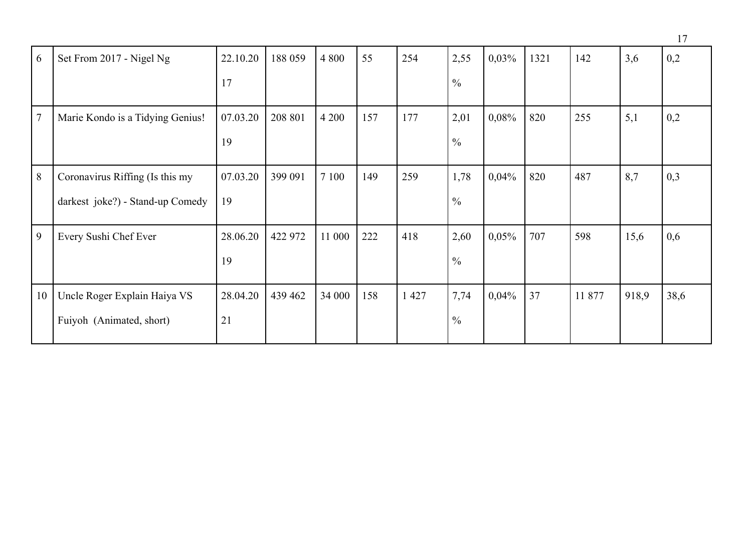|                |                                  |          |         |         |     |         |               |          |      |        |       | 17   |
|----------------|----------------------------------|----------|---------|---------|-----|---------|---------------|----------|------|--------|-------|------|
| 6              | Set From 2017 - Nigel Ng         | 22.10.20 | 188 059 | 4 8 0 0 | 55  | 254     | 2,55          | 0,03%    | 1321 | 142    | 3,6   | 0,2  |
|                |                                  | 17       |         |         |     |         | $\frac{0}{0}$ |          |      |        |       |      |
| $\overline{7}$ | Marie Kondo is a Tidying Genius! | 07.03.20 | 208 801 | 4 2 0 0 | 157 | 177     | 2,01          | 0,08%    | 820  | 255    | 5,1   | 0,2  |
|                |                                  | 19       |         |         |     |         | $\frac{0}{0}$ |          |      |        |       |      |
| 8              | Coronavirus Riffing (Is this my  | 07.03.20 | 399 091 | 7 100   | 149 | 259     | 1,78          | 0,04%    | 820  | 487    | 8,7   | 0,3  |
|                | darkest joke?) - Stand-up Comedy | 19       |         |         |     |         | $\frac{0}{0}$ |          |      |        |       |      |
| 9              | Every Sushi Chef Ever            | 28.06.20 | 422 972 | 11 000  | 222 | 418     | 2,60          | 0,05%    | 707  | 598    | 15,6  | 0,6  |
|                |                                  | 19       |         |         |     |         | $\frac{0}{0}$ |          |      |        |       |      |
| 10             | Uncle Roger Explain Haiya VS     | 28.04.20 | 439 462 | 34 000  | 158 | 1 4 2 7 | 7,74          | $0,04\%$ | 37   | 11 877 | 918,9 | 38,6 |
|                | Fuiyoh (Animated, short)         | 21       |         |         |     |         | $\frac{0}{0}$ |          |      |        |       |      |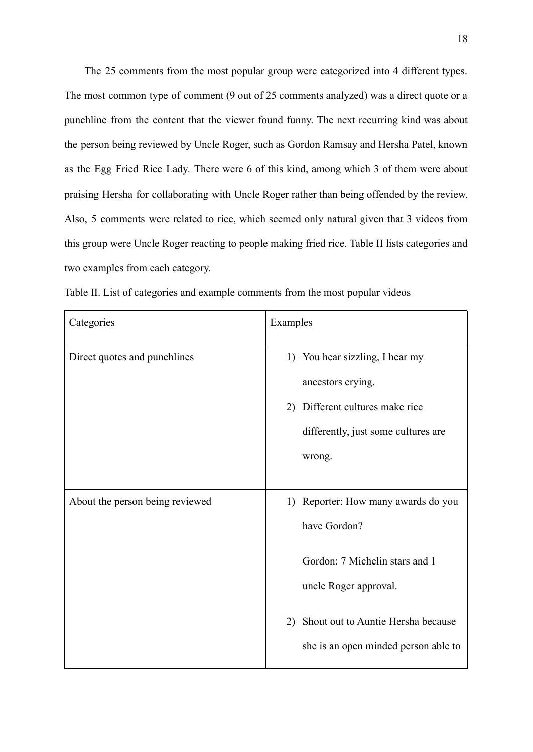The 25 comments from the most popular group were categorized into 4 different types. The most common type of comment (9 out of 25 comments analyzed) was a direct quote or a punchline from the content that the viewer found funny. The next recurring kind was about the person being reviewed by Uncle Roger, such as Gordon Ramsay and Hersha Patel, known as the Egg Fried Rice Lady. There were 6 of this kind, among which 3 of them were about praising Hersha for collaborating with Uncle Roger rather than being offended by the review. Also, 5 comments were related to rice, which seemed only natural given that 3 videos from this group were Uncle Roger reacting to people making fried rice. Table II lists categories and two examples from each category.

| Categories                      | Examples                                                                                                                                                                                           |
|---------------------------------|----------------------------------------------------------------------------------------------------------------------------------------------------------------------------------------------------|
| Direct quotes and punchlines    | 1) You hear sizzling, I hear my<br>ancestors crying.<br>2) Different cultures make rice<br>differently, just some cultures are<br>wrong.                                                           |
| About the person being reviewed | 1) Reporter: How many awards do you<br>have Gordon?<br>Gordon: 7 Michelin stars and 1<br>uncle Roger approval.<br>Shout out to Auntie Hersha because<br>2)<br>she is an open minded person able to |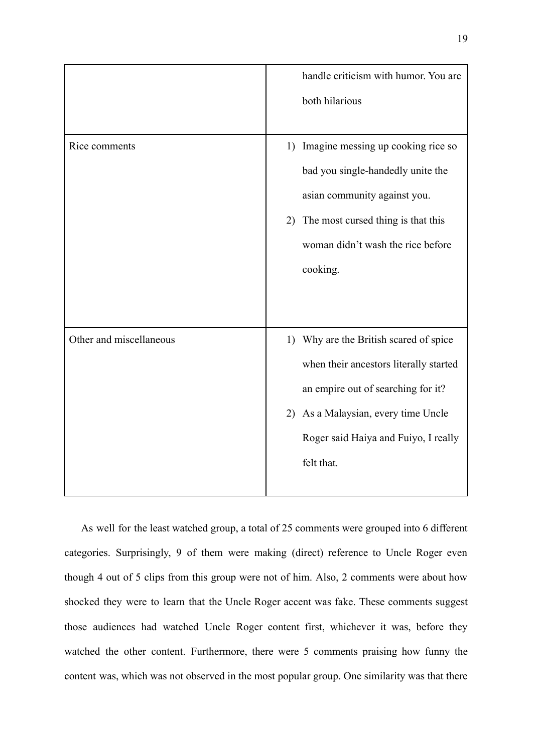|                         | handle criticism with humor. You are     |
|-------------------------|------------------------------------------|
|                         | both hilarious                           |
|                         |                                          |
| Rice comments           | Imagine messing up cooking rice so<br>1) |
|                         | bad you single-handedly unite the        |
|                         | asian community against you.             |
|                         | The most cursed thing is that this<br>2) |
|                         | woman didn't wash the rice before        |
|                         | cooking.                                 |
|                         |                                          |
|                         |                                          |
| Other and miscellaneous | 1) Why are the British scared of spice   |
|                         | when their ancestors literally started   |
|                         | an empire out of searching for it?       |
|                         | As a Malaysian, every time Uncle<br>2)   |
|                         | Roger said Haiya and Fuiyo, I really     |
|                         | felt that.                               |
|                         |                                          |

As well for the least watched group, a total of 25 comments were grouped into 6 different categories. Surprisingly, 9 of them were making (direct) reference to Uncle Roger even though 4 out of 5 clips from this group were not of him. Also, 2 comments were about how shocked they were to learn that the Uncle Roger accent was fake. These comments suggest those audiences had watched Uncle Roger content first, whichever it was, before they watched the other content. Furthermore, there were 5 comments praising how funny the content was, which was not observed in the most popular group. One similarity was that there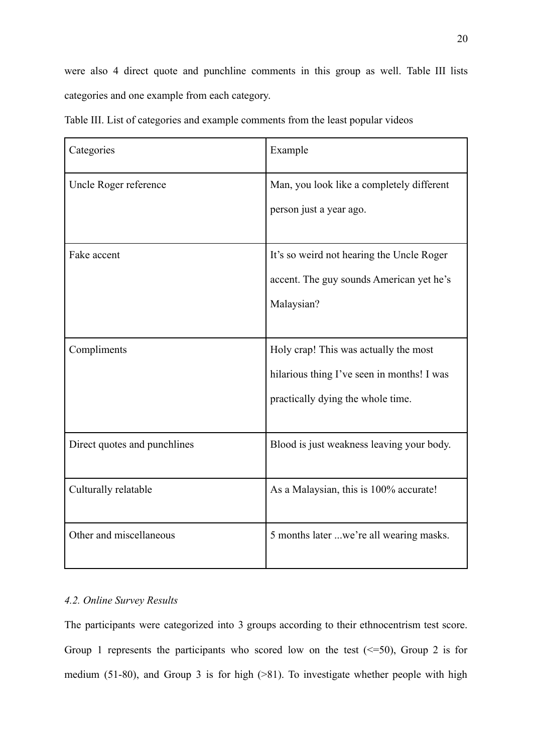were also 4 direct quote and punchline comments in this group as well. Table III lists categories and one example from each category.

| Categories                   | Example                                    |
|------------------------------|--------------------------------------------|
| Uncle Roger reference        | Man, you look like a completely different  |
|                              | person just a year ago.                    |
| Fake accent                  | It's so weird not hearing the Uncle Roger  |
|                              | accent. The guy sounds American yet he's   |
|                              | Malaysian?                                 |
|                              |                                            |
| Compliments                  | Holy crap! This was actually the most      |
|                              | hilarious thing I've seen in months! I was |
|                              | practically dying the whole time.          |
|                              |                                            |
| Direct quotes and punchlines | Blood is just weakness leaving your body.  |
| Culturally relatable         | As a Malaysian, this is 100% accurate!     |
| Other and miscellaneous      | 5 months later we're all wearing masks.    |

Table III. List of categories and example comments from the least popular videos

## *4.2. Online Survey Results*

The participants were categorized into 3 groups according to their ethnocentrism test score. Group 1 represents the participants who scored low on the test  $(\leq=50)$ , Group 2 is for medium (51-80), and Group 3 is for high (>81). To investigate whether people with high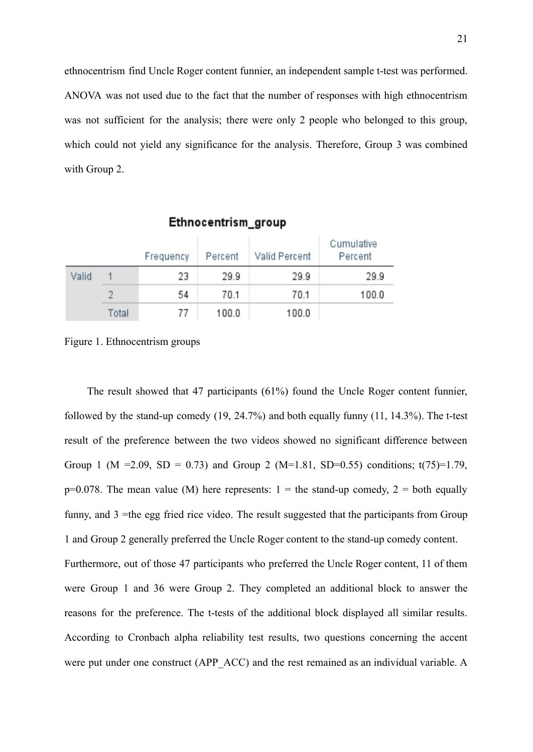ethnocentrism find Uncle Roger content funnier, an independent sample t-test was performed. ANOVA was not used due to the fact that the number of responses with high ethnocentrism was not sufficient for the analysis; there were only 2 people who belonged to this group, which could not yield any significance for the analysis. Therefore, Group 3 was combined with Group 2.

|       |       | Frequency | Percent | Valid Percent | Cumulative<br>Percent |
|-------|-------|-----------|---------|---------------|-----------------------|
| Valid |       | 23        | 29.9    | 29.9          | 29.9                  |
|       |       | 54        | 70.1    | 70.1          | 100.0                 |
|       | Total | 77        | 100.0   | 100.0         |                       |

Ethnocentrism\_group

Figure 1. Ethnocentrism groups

The result showed that 47 participants (61%) found the Uncle Roger content funnier, followed by the stand-up comedy (19, 24.7%) and both equally funny (11, 14.3%). The t-test result of the preference between the two videos showed no significant difference between Group 1 (M = 2.09, SD = 0.73) and Group 2 (M=1.81, SD=0.55) conditions;  $t(75)=1.79$ ,  $p=0.078$ . The mean value (M) here represents:  $1 =$  the stand-up comedy,  $2 =$  both equally funny, and 3 =the egg fried rice video. The result suggested that the participants from Group 1 and Group 2 generally preferred the Uncle Roger content to the stand-up comedy content. Furthermore, out of those 47 participants who preferred the Uncle Roger content, 11 of them were Group 1 and 36 were Group 2. They completed an additional block to answer the reasons for the preference. The t-tests of the additional block displayed all similar results. According to Cronbach alpha reliability test results, two questions concerning the accent were put under one construct (APP\_ACC) and the rest remained as an individual variable. A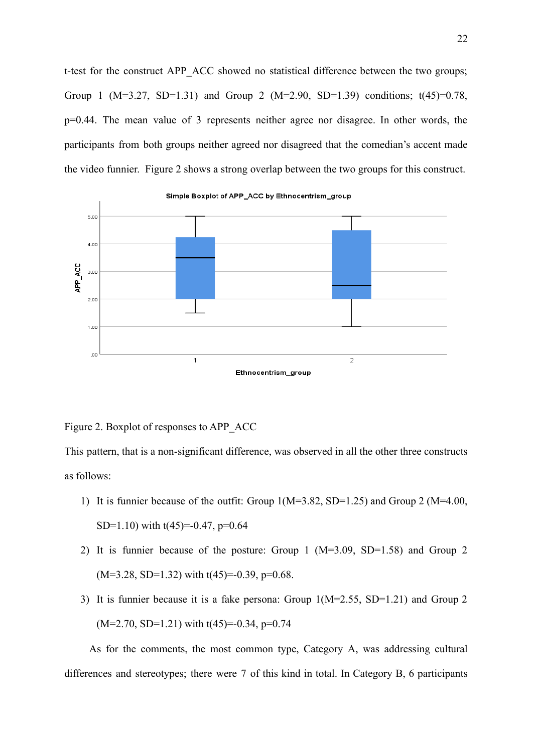t-test for the construct APP\_ACC showed no statistical difference between the two groups; Group 1 (M=3.27, SD=1.31) and Group 2 (M=2.90, SD=1.39) conditions;  $t(45)=0.78$ , p=0.44. The mean value of 3 represents neither agree nor disagree. In other words, the participants from both groups neither agreed nor disagreed that the comedian's accent made the video funnier. Figure 2 shows a strong overlap between the two groups for this construct.



#### Figure 2. Boxplot of responses to APP\_ACC

This pattern, that is a non-significant difference, was observed in all the other three constructs as follows:

- 1) It is funnier because of the outfit: Group 1(M=3.82, SD=1.25) and Group 2 (M=4.00, SD=1.10) with  $t(45)$ =-0.47, p=0.64
- 2) It is funnier because of the posture: Group 1 (M=3.09, SD=1.58) and Group 2  $(M=3.28, SD=1.32)$  with  $t(45)=-0.39, p=0.68$ .
- 3) It is funnier because it is a fake persona: Group 1(M=2.55, SD=1.21) and Group 2  $(M=2.70, SD=1.21)$  with  $t(45)=-0.34, p=0.74$

As for the comments, the most common type, Category A, was addressing cultural differences and stereotypes; there were 7 of this kind in total. In Category B, 6 participants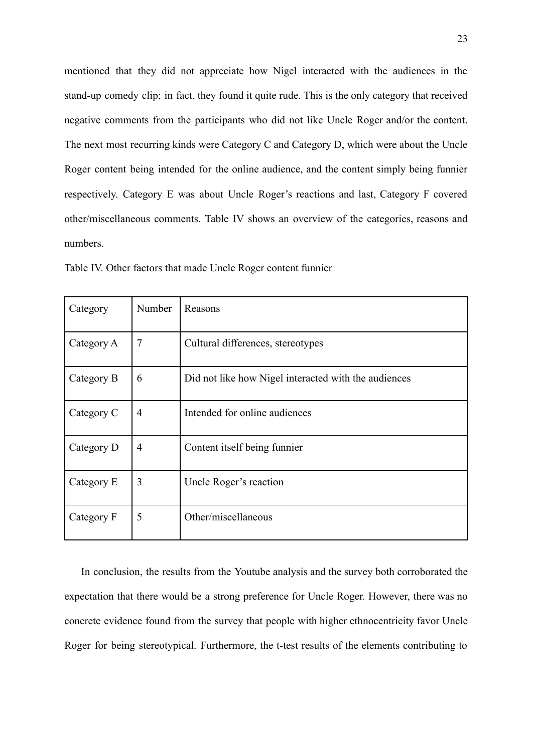mentioned that they did not appreciate how Nigel interacted with the audiences in the stand-up comedy clip; in fact, they found it quite rude. This is the only category that received negative comments from the participants who did not like Uncle Roger and/or the content. The next most recurring kinds were Category C and Category D, which were about the Uncle Roger content being intended for the online audience, and the content simply being funnier respectively. Category E was about Uncle Roger's reactions and last, Category F covered other/miscellaneous comments. Table IV shows an overview of the categories, reasons and numbers.

| Category   | Number | Reasons                                              |
|------------|--------|------------------------------------------------------|
| Category A | 7      | Cultural differences, stereotypes                    |
| Category B | 6      | Did not like how Nigel interacted with the audiences |
| Category C | 4      | Intended for online audiences                        |
| Category D | 4      | Content itself being funnier                         |
| Category E | 3      | Uncle Roger's reaction                               |
| Category F | 5      | Other/miscellaneous                                  |

Table IV. Other factors that made Uncle Roger content funnier

In conclusion, the results from the Youtube analysis and the survey both corroborated the expectation that there would be a strong preference for Uncle Roger. However, there was no concrete evidence found from the survey that people with higher ethnocentricity favor Uncle Roger for being stereotypical. Furthermore, the t-test results of the elements contributing to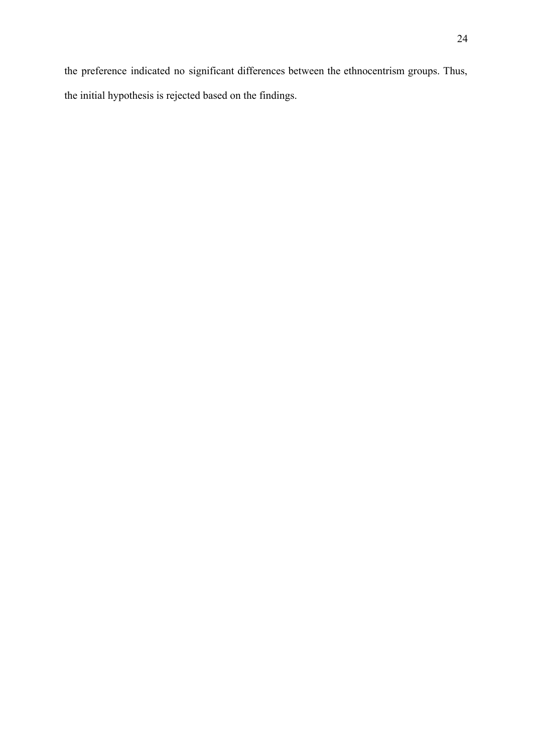the preference indicated no significant differences between the ethnocentrism groups. Thus, the initial hypothesis is rejected based on the findings.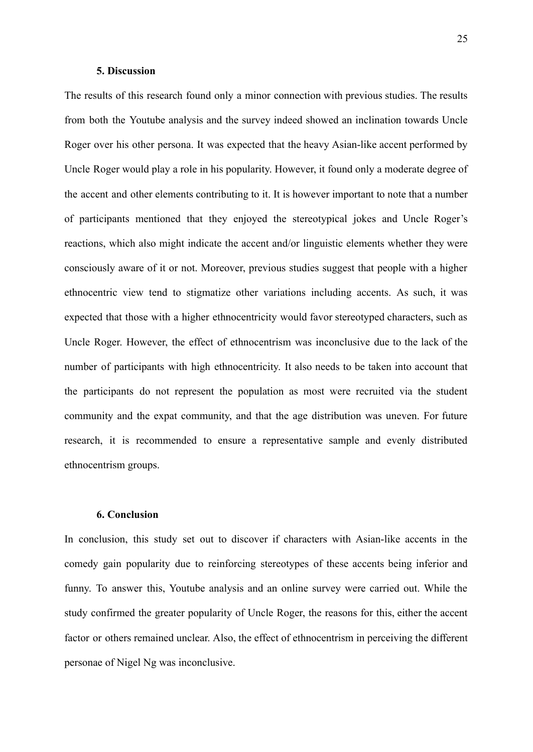#### **5. Discussion**

The results of this research found only a minor connection with previous studies. The results from both the Youtube analysis and the survey indeed showed an inclination towards Uncle Roger over his other persona. It was expected that the heavy Asian-like accent performed by Uncle Roger would play a role in his popularity. However, it found only a moderate degree of the accent and other elements contributing to it. It is however important to note that a number of participants mentioned that they enjoyed the stereotypical jokes and Uncle Roger's reactions, which also might indicate the accent and/or linguistic elements whether they were consciously aware of it or not. Moreover, previous studies suggest that people with a higher ethnocentric view tend to stigmatize other variations including accents. As such, it was expected that those with a higher ethnocentricity would favor stereotyped characters, such as Uncle Roger. However, the effect of ethnocentrism was inconclusive due to the lack of the number of participants with high ethnocentricity. It also needs to be taken into account that the participants do not represent the population as most were recruited via the student community and the expat community, and that the age distribution was uneven. For future research, it is recommended to ensure a representative sample and evenly distributed ethnocentrism groups.

#### **6. Conclusion**

In conclusion, this study set out to discover if characters with Asian-like accents in the comedy gain popularity due to reinforcing stereotypes of these accents being inferior and funny. To answer this, Youtube analysis and an online survey were carried out. While the study confirmed the greater popularity of Uncle Roger, the reasons for this, either the accent factor or others remained unclear. Also, the effect of ethnocentrism in perceiving the different personae of Nigel Ng was inconclusive.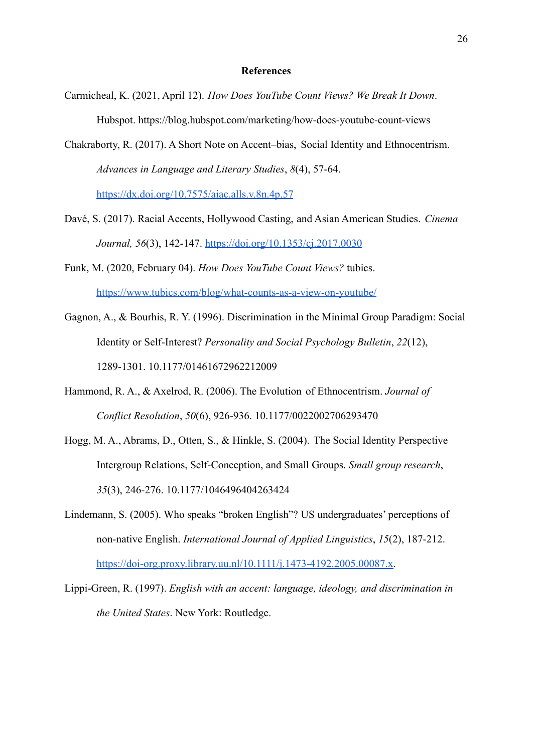#### **References**

Carmicheal, K. (2021, April 12). *How Does YouTube Count Views? We Break It Down*. Hubspot. https://blog.hubspot.com/marketing/how-does-youtube-count-views

Chakraborty, R. (2017). A Short Note on Accent–bias, Social Identity and Ethnocentrism. *Advances in Language and Literary Studies*, *8*(4), 57-64. https://dx.doi.org/10.7575/aiac.alls.v.8n.4p.57

- Davé, S. (2017). Racial Accents, Hollywood Casting, and Asian American Studies. *Cinema Journal, 56*(3), 142-147. <https://doi.org/10.1353/cj.2017.0030>
- Funk, M. (2020, February 04). *How Does YouTube Count Views?* tubics. <https://www.tubics.com/blog/what-counts-as-a-view-on-youtube/>
- Gagnon, A., & Bourhis, R. Y. (1996). Discrimination in the Minimal Group Paradigm: Social Identity or Self-Interest? *Personality and Social Psychology Bulletin*, *22*(12), 1289-1301. 10.1177/01461672962212009
- Hammond, R. A., & Axelrod, R. (2006). The Evolution of Ethnocentrism. *Journal of Conflict Resolution*, *50*(6), 926-936. 10.1177/0022002706293470
- Hogg, M. A., Abrams, D., Otten, S., & Hinkle, S. (2004). The Social Identity Perspective Intergroup Relations, Self-Conception, and Small Groups. *Small group research*, *35*(3), 246-276. 10.1177/1046496404263424
- Lindemann, S. (2005). Who speaks "broken English"? US undergraduates' perceptions of non-native English. *International Journal of Applied Linguistics*, *15*(2), 187-212. [https://doi-org.proxy.library.uu.nl/10.1111/j.1473-4192.2005.00087.x.](https://doi-org.proxy.library.uu.nl/10.1111/j.1473-4192.2005.00087.x)

Lippi-Green, R. (1997). *English with an accent: language, ideology, and discrimination in the United States*. New York: Routledge.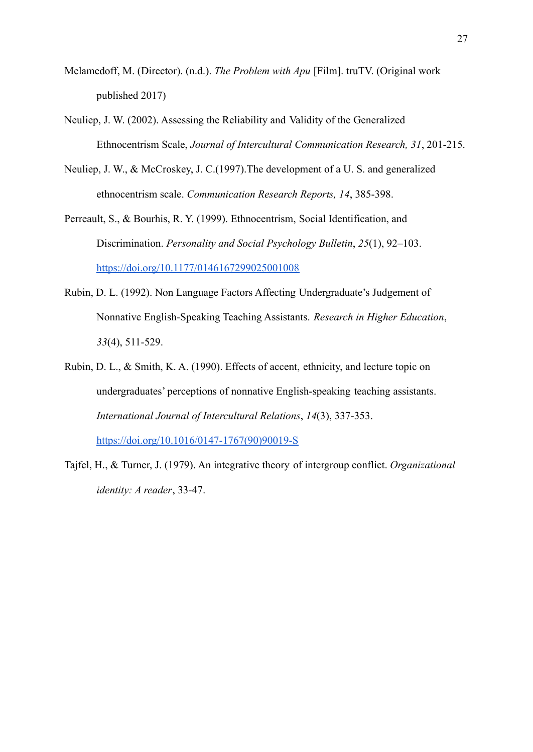- Melamedoff, M. (Director). (n.d.). *The Problem with Apu* [Film]. truTV. (Original work published 2017)
- Neuliep, J. W. (2002). Assessing the Reliability and Validity of the Generalized Ethnocentrism Scale, *Journal of Intercultural Communication Research, 31*, 201-215.
- Neuliep, J. W., & McCroskey, J. C.(1997).The development of a U. S. and generalized ethnocentrism scale. *Communication Research Reports, 14*, 385-398.
- Perreault, S., & Bourhis, R. Y. (1999). Ethnocentrism, Social Identification, and Discrimination. *Personality and Social Psychology Bulletin*, *25*(1), 92–103. <https://doi.org/10.1177/0146167299025001008>
- Rubin, D. L. (1992). Non Language Factors Affecting Undergraduate's Judgement of Nonnative English-Speaking Teaching Assistants. *Research in Higher Education*, *33*(4), 511-529.
- Rubin, D. L., & Smith, K. A. (1990). Effects of accent, ethnicity, and lecture topic on undergraduates' perceptions of nonnative English-speaking teaching assistants. *International Journal of Intercultural Relations*, *14*(3), 337-353.

[https://doi.org/10.1016/0147-1767\(90\)90019-S](https://doi.org/10.1016/0147-1767(90)90019-S)

Tajfel, H., & Turner, J. (1979). An integrative theory of intergroup conflict. *Organizational identity: A reader*, 33-47.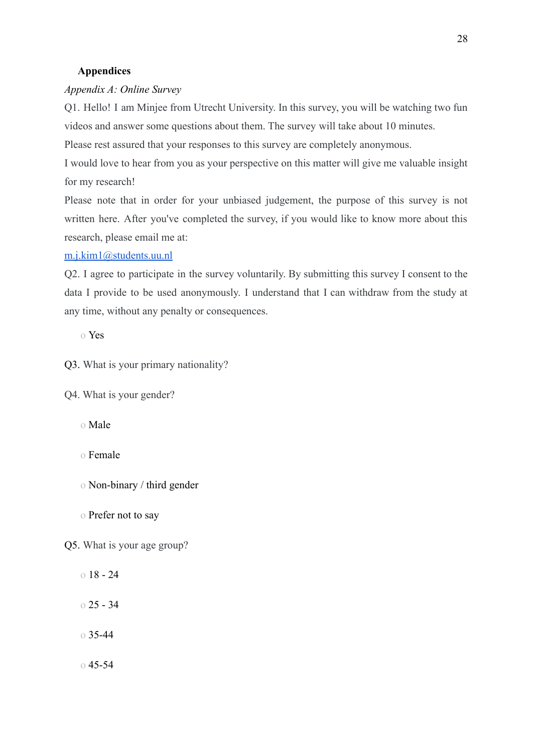## **Appendices**

## *Appendix A: Online Survey*

Q1. Hello! I am Minjee from Utrecht University. In this survey, you will be watching two fun videos and answer some questions about them. The survey will take about 10 minutes.

Please rest assured that your responses to this survey are completely anonymous.

I would love to hear from you as your perspective on this matter will give me valuable insight for my research!

Please note that in order for your unbiased judgement, the purpose of this survey is not written here. After you've completed the survey, if you would like to know more about this research, please email me at:

#### [m.j.kim1@students.uu.nl](mailto:m.j.kim1@students.uu.nl)

Q2. I agree to participate in the survey voluntarily. By submitting this survey I consent to the data I provide to be used anonymously. I understand that I can withdraw from the study at any time, without any penalty or consequences.

o Yes

Q3. What is your primary nationality?

Q4. What is your gender?

o Male

o Female

o Non-binary / third gender

o Prefer not to say

Q5. What is your age group?

 $018 - 24$ o 25 - 34

o 35-44

 $0.45 - 54$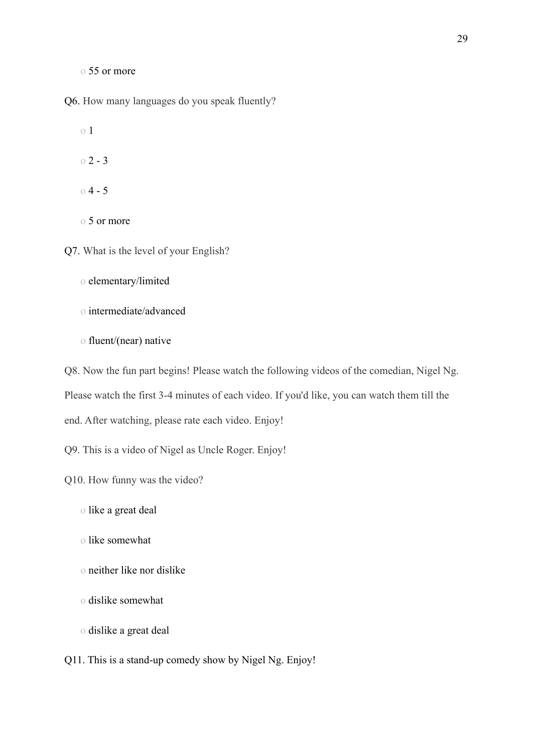o 55 or more

Q6. How many languages do you speak fluently?

o 1

 $02 - 3$ 

o 4 - 5

o 5 or more

Q7. What is the level of your English?

- o elementary/limited
- o intermediate/advanced
- o fluent/(near) native

Q8. Now the fun part begins! Please watch the following videos of the comedian, Nigel Ng. Please watch the first 3-4 minutes of each video. If you'd like, you can watch them till the end. After watching, please rate each video. Enjoy!

Q9. This is a video of Nigel as Uncle Roger. Enjoy!

Q10. How funny was the video?

- o like a great deal
- o like somewhat
- o neither like nor dislike
- o dislike somewhat
- o dislike a great deal

Q11. This is a stand-up comedy show by Nigel Ng. Enjoy!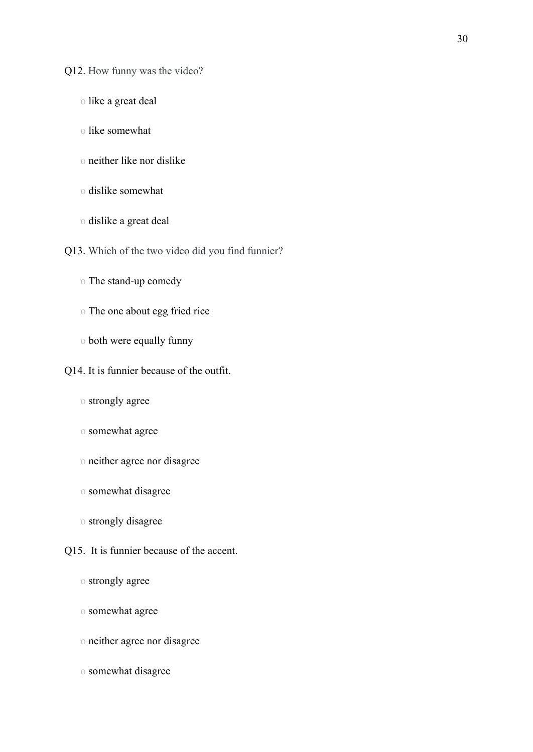Q12. How funny was the video?

- o like a great deal
- o like somewhat
- o neither like nor dislike
- o dislike somewhat
- o dislike a great deal
- Q13. Which of the two video did you find funnier?
	- o The stand-up comedy
	- o The one about egg fried rice
	- o both were equally funny
- Q14. It is funnier because of the outfit.
	- o strongly agree
	- o somewhat agree
	- o neither agree nor disagree
	- o somewhat disagree
	- o strongly disagree
- Q15. It is funnier because of the accent.
	- o strongly agree
	- o somewhat agree
	- o neither agree nor disagree
	- o somewhat disagree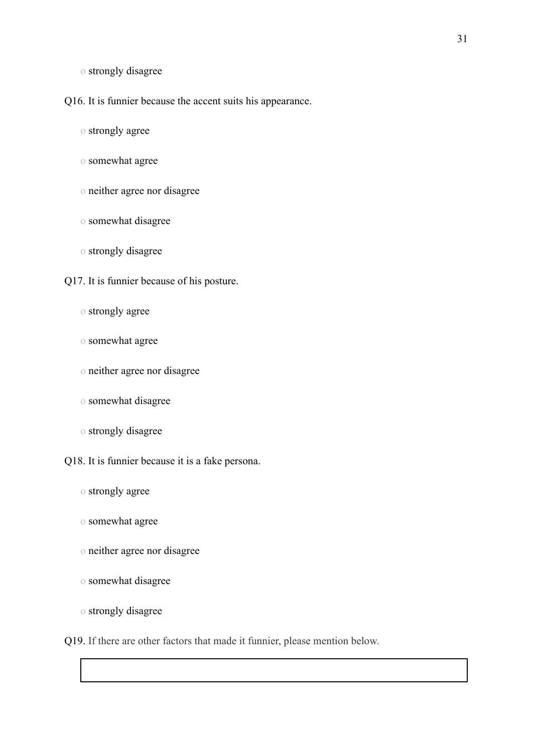o strongly disagree

Q16. It is funnier because the accent suits his appearance.

o strongly agree

o somewhat agree

o neither agree nor disagree

o somewhat disagree

o strongly disagree

Q17. It is funnier because of his posture.

o strongly agree

o somewhat agree

o neither agree nor disagree

o somewhat disagree

o strongly disagree

Q18. It is funnier because it is a fake persona.

o strongly agree

o somewhat agree

o neither agree nor disagree

o somewhat disagree

o strongly disagree

Q19. If there are other factors that made it funnier, please mention below.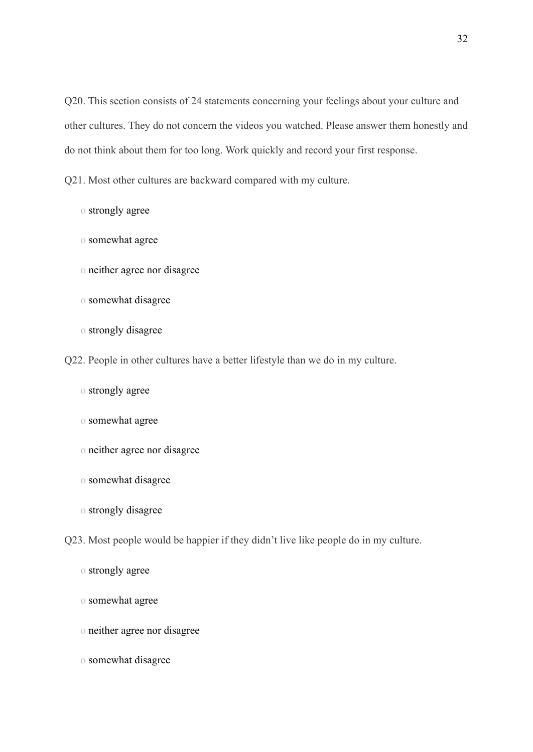Q20. This section consists of 24 statements concerning your feelings about your culture and other cultures. They do not concern the videos you watched. Please answer them honestly and do not think about them for too long. Work quickly and record your first response.

Q21. Most other cultures are backward compared with my culture.

o strongly agree

- o somewhat agree
- o neither agree nor disagree
- o somewhat disagree
- o strongly disagree
- Q22. People in other cultures have a better lifestyle than we do in my culture.
	- o strongly agree
	- o somewhat agree
	- o neither agree nor disagree
	- o somewhat disagree
	- o strongly disagree
- Q23. Most people would be happier if they didn't live like people do in my culture.
	- o strongly agree
	- o somewhat agree
	- o neither agree nor disagree
	- o somewhat disagree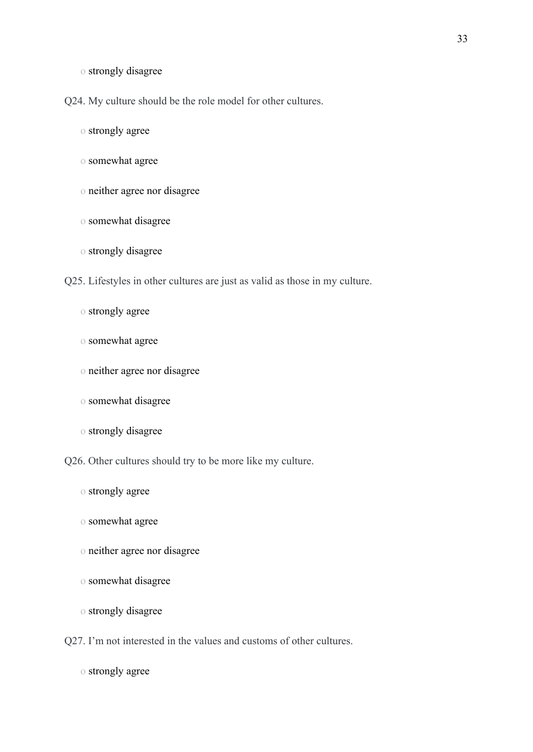o strongly disagree

Q24. My culture should be the role model for other cultures.

o strongly agree

- o somewhat agree
- o neither agree nor disagree
- o somewhat disagree
- o strongly disagree

Q25. Lifestyles in other cultures are just as valid as those in my culture.

- o strongly agree
- o somewhat agree
- o neither agree nor disagree
- o somewhat disagree
- o strongly disagree

Q26. Other cultures should try to be more like my culture.

- o strongly agree
- o somewhat agree
- o neither agree nor disagree
- o somewhat disagree
- o strongly disagree

Q27. I'm not interested in the values and customs of other cultures.

o strongly agree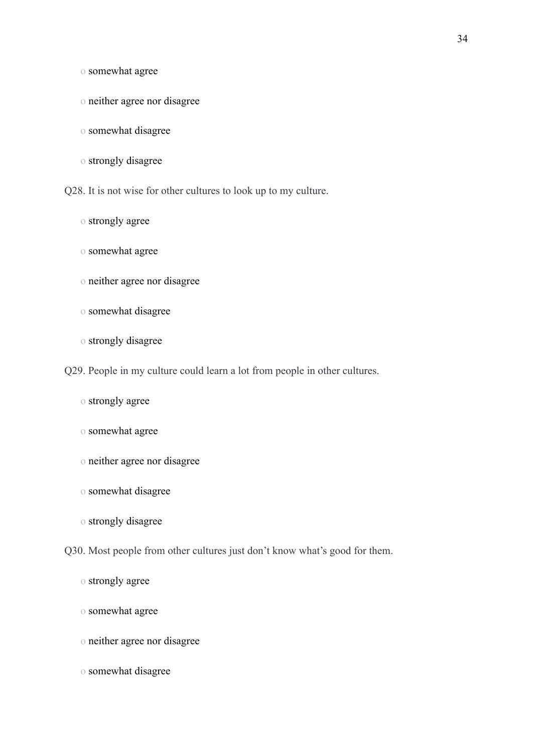o somewhat agree

- o neither agree nor disagree
- o somewhat disagree
- o strongly disagree

Q28. It is not wise for other cultures to look up to my culture.

- o strongly agree
- o somewhat agree
- o neither agree nor disagree
- o somewhat disagree
- o strongly disagree
- Q29. People in my culture could learn a lot from people in other cultures.
	- o strongly agree
	- o somewhat agree
	- o neither agree nor disagree
	- o somewhat disagree
	- o strongly disagree
- Q30. Most people from other cultures just don't know what's good for them.

- o strongly agree
- o somewhat agree
- o neither agree nor disagree
- o somewhat disagree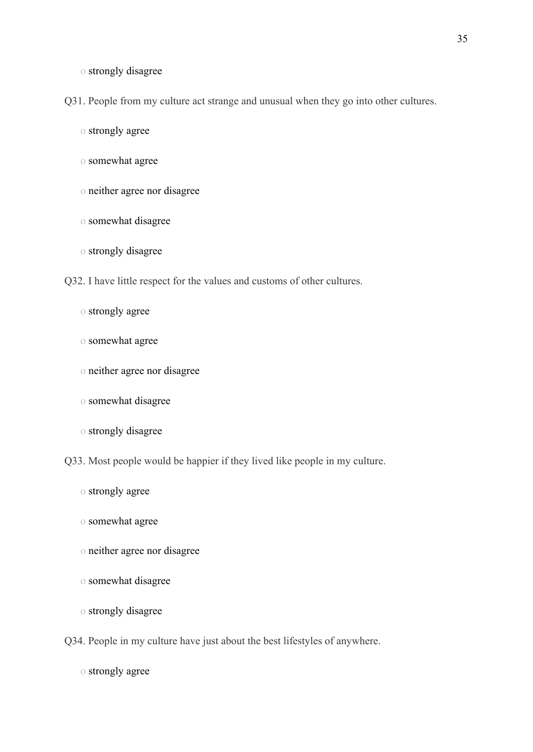o strongly disagree

Q31. People from my culture act strange and unusual when they go into other cultures.

o strongly agree

- o somewhat agree
- o neither agree nor disagree
- o somewhat disagree
- o strongly disagree

Q32. I have little respect for the values and customs of other cultures.

- o strongly agree
- o somewhat agree
- o neither agree nor disagree
- o somewhat disagree
- o strongly disagree

Q33. Most people would be happier if they lived like people in my culture.

- o strongly agree
- o somewhat agree
- o neither agree nor disagree
- o somewhat disagree
- o strongly disagree
- Q34. People in my culture have just about the best lifestyles of anywhere.

o strongly agree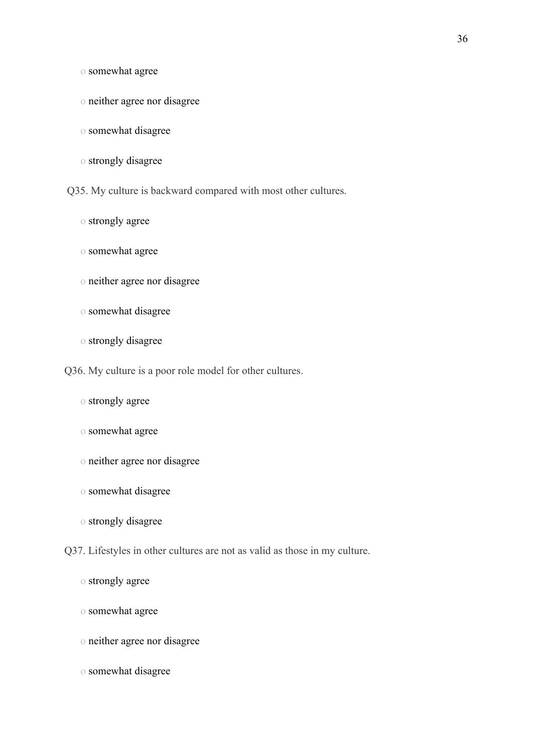o somewhat agree

- o neither agree nor disagree
- o somewhat disagree
- o strongly disagree

Q35. My culture is backward compared with most other cultures.

- o strongly agree
- o somewhat agree
- o neither agree nor disagree
- o somewhat disagree
- o strongly disagree
- Q36. My culture is a poor role model for other cultures.
	- o strongly agree
	- o somewhat agree
	- o neither agree nor disagree
	- o somewhat disagree
	- o strongly disagree
- Q37. Lifestyles in other cultures are not as valid as those in my culture.
	-
	- o strongly agree
	- o somewhat agree
	- o neither agree nor disagree
	- o somewhat disagree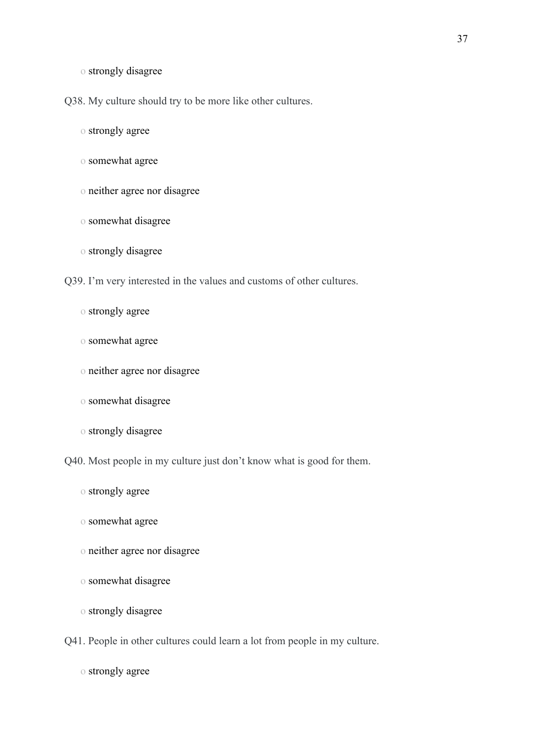o strongly disagree

Q38. My culture should try to be more like other cultures.

o strongly agree

- o somewhat agree
- o neither agree nor disagree
- o somewhat disagree
- o strongly disagree

Q39. I'm very interested in the values and customs of other cultures.

- o strongly agree
- o somewhat agree
- o neither agree nor disagree
- o somewhat disagree
- o strongly disagree

Q40. Most people in my culture just don't know what is good for them.

- o strongly agree
- o somewhat agree
- o neither agree nor disagree
- o somewhat disagree
- o strongly disagree
- Q41. People in other cultures could learn a lot from people in my culture.

o strongly agree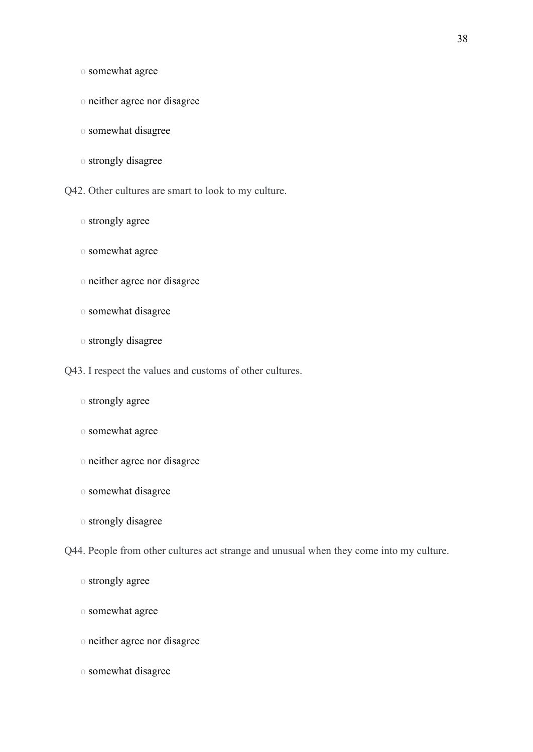o somewhat agree

- o neither agree nor disagree
- o somewhat disagree
- o strongly disagree

Q42. Other cultures are smart to look to my culture.

- o strongly agree
- o somewhat agree
- o neither agree nor disagree
- o somewhat disagree
- o strongly disagree
- Q43. I respect the values and customs of other cultures.
	- o strongly agree
	- o somewhat agree
	- o neither agree nor disagree
	- o somewhat disagree
	- o strongly disagree

Q44. People from other cultures act strange and unusual when they come into my culture.

- o strongly agree
- o somewhat agree
- o neither agree nor disagree
- o somewhat disagree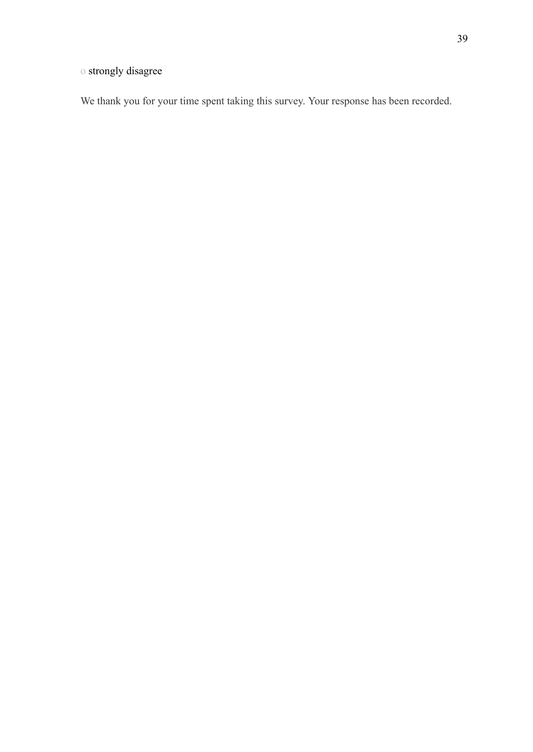# o strongly disagree

We thank you for your time spent taking this survey. Your response has been recorded.